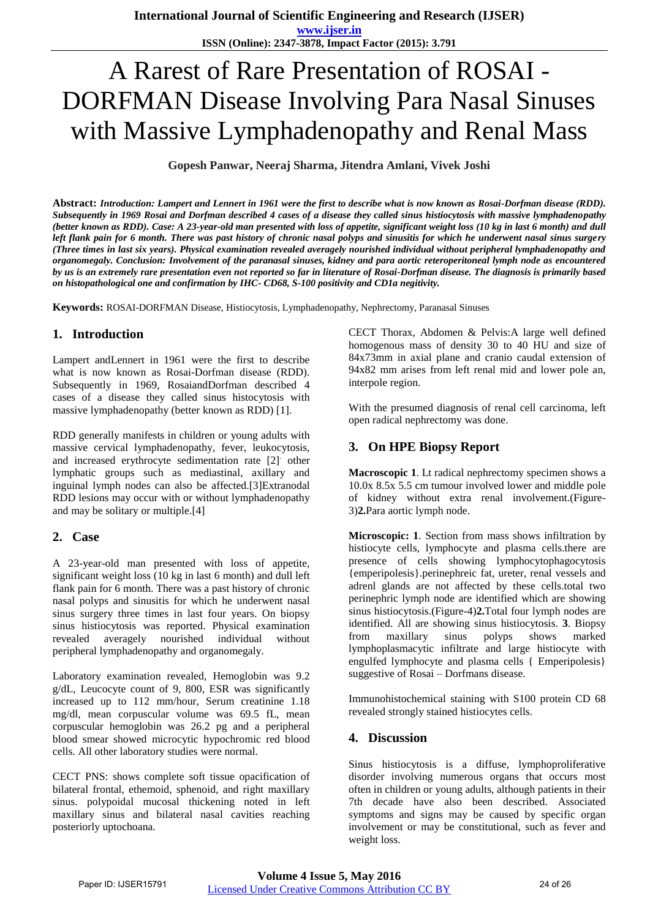# A Rarest of Rare Presentation of ROSAI - DORFMAN Disease Involving Para Nasal Sinuses with Massive Lymphadenopathy and Renal Mass

**Gopesh Panwar, Neeraj Sharma, Jitendra Amlani, Vivek Joshi**

**Abstract:** *Introduction: Lampert and Lennert in 1961 were the first to describe what is now known as Rosai-Dorfman disease (RDD). Subsequently in 1969 Rosai and Dorfman described 4 cases of a disease they called sinus histiocytosis with massive lymphadenopathy (better known as RDD). Case: A 23-year-old man presented with loss of appetite, significant weight loss (10 kg in last 6 month) and dull left flank pain for 6 month. There was past history of chronic nasal polyps and sinusitis for which he underwent nasal sinus surgery (Three times in last six years). Physical examination revealed averagely nourished individual without peripheral lymphadenopathy and organomegaly. Conclusion: Involvement of the paranasal sinuses, kidney and para aortic reteroperitoneal lymph node as encountered by us is an extremely rare presentation even not reported so far in literature of Rosai-Dorfman disease. The diagnosis is primarily based on histopathological one and confirmation by IHC- CD68, S-100 positivity and CD1a negitivity.*

**Keywords:** ROSAI-DORFMAN Disease, Histiocytosis, Lymphadenopathy, Nephrectomy, Paranasal Sinuses

# **1. Introduction**

Lampert andLennert in 1961 were the first to describe what is now known as Rosai-Dorfman disease (RDD). Subsequently in 1969, RosaiandDorfman described 4 cases of a disease they called sinus histocytosis with massive lymphadenopathy (better known as RDD) [1].

RDD generally manifests in children or young adults with massive cervical lymphadenopathy, fever, leukocytosis, and increased erythrocyte sedimentation rate [2]. other lymphatic groups such as mediastinal, axillary and inguinal lymph nodes can also be affected.[3]Extranodal RDD lesions may occur with or without lymphadenopathy and may be solitary or multiple.[4]

# **2. Case**

A 23-year-old man presented with loss of appetite, significant weight loss (10 kg in last 6 month) and dull left flank pain for 6 month. There was a past history of chronic nasal polyps and sinusitis for which he underwent nasal sinus surgery three times in last four years. On biopsy sinus histiocytosis was reported. Physical examination revealed averagely nourished individual without peripheral lymphadenopathy and organomegaly.

Laboratory examination revealed, Hemoglobin was 9.2 g/dL, Leucocyte count of 9, 800, ESR was significantly increased up to 112 mm/hour, Serum creatinine 1.18 mg/dl, mean corpuscular volume was 69.5 fL, mean corpuscular hemoglobin was 26.2 pg and a peripheral blood smear showed microcytic hypochromic red blood cells. All other laboratory studies were normal.

CECT PNS: shows complete soft tissue opacification of bilateral frontal, ethemoid, sphenoid, and right maxillary sinus. polypoidal mucosal thickening noted in left maxillary sinus and bilateral nasal cavities reaching posteriorly uptochoana.

CECT Thorax, Abdomen & Pelvis:A large well defined homogenous mass of density 30 to 40 HU and size of 84x73mm in axial plane and cranio caudal extension of 94x82 mm arises from left renal mid and lower pole an, interpole region.

With the presumed diagnosis of renal cell carcinoma, left open radical nephrectomy was done.

# **3. On HPE Biopsy Report**

**Macroscopic 1**. Lt radical nephrectomy specimen shows a 10.0x 8.5x 5.5 cm tumour involved lower and middle pole of kidney without extra renal involvement.(Figure-3)**2.**Para aortic lymph node.

**Microscopic: 1**. Section from mass shows infiltration by histiocyte cells, lymphocyte and plasma cells.there are presence of cells showing lymphocytophagocytosis {emperipolesis}.perinephreic fat, ureter, renal vessels and adrenl glands are not affected by these cells.total two perinephric lymph node are identified which are showing sinus histiocytosis.(Figure-4)**2.**Total four lymph nodes are identified. All are showing sinus histiocytosis. **3**. Biopsy from maxillary sinus polyps shows marked lymphoplasmacytic infiltrate and large histiocyte with engulfed lymphocyte and plasma cells { Emperipolesis} suggestive of Rosai – Dorfmans disease.

Immunohistochemical staining with S100 protein CD 68 revealed strongly stained histiocytes cells.

#### **4. Discussion**

Sinus histiocytosis is a diffuse, lymphoproliferative disorder involving numerous organs that occurs most often in children or young adults, although patients in their 7th decade have also been described. Associated symptoms and signs may be caused by specific organ involvement or may be constitutional, such as fever and weight loss.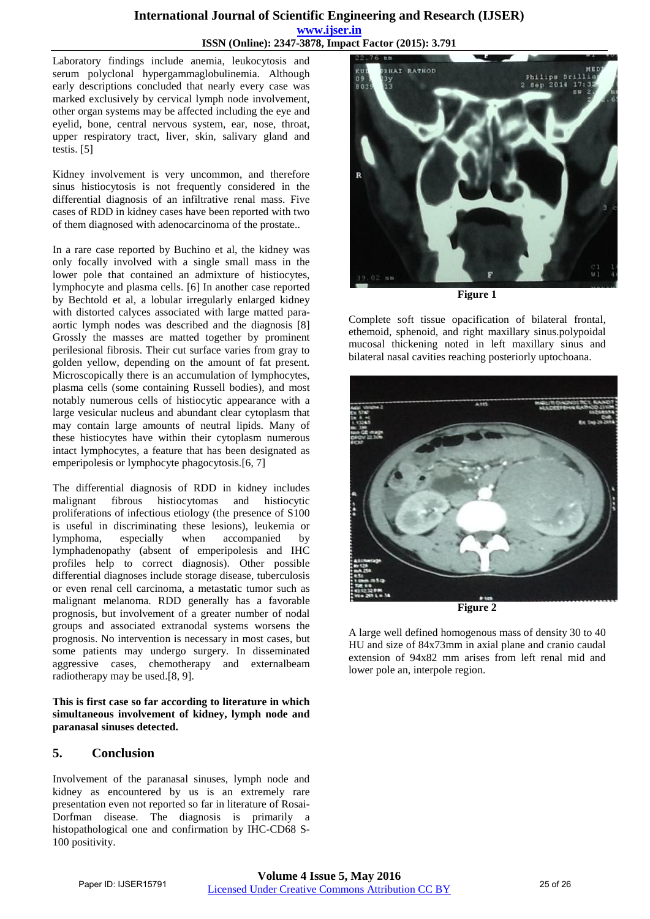### **International Journal of Scientific Engineering and Research (IJSER) www.ijser.in ISSN (Online): 2347-3878, Impact Factor (2015): 3.791**

Laboratory findings include anemia, leukocytosis and serum polyclonal hypergammaglobulinemia. Although early descriptions concluded that nearly every case was marked exclusively by cervical lymph node involvement, other organ systems may be affected including the eye and eyelid, bone, central nervous system, ear, nose, throat, upper respiratory tract, liver, skin, salivary gland and testis. [5]

Kidney involvement is very uncommon, and therefore sinus histiocytosis is not frequently considered in the differential diagnosis of an infiltrative renal mass. Five cases of RDD in kidney cases have been reported with two of them diagnosed with adenocarcinoma of the prostate..

In a rare case reported by Buchino et al, the kidney was only focally involved with a single small mass in the lower pole that contained an admixture of histiocytes, lymphocyte and plasma cells. [6] In another case reported by Bechtold et al, a lobular irregularly enlarged kidney with distorted calyces associated with large matted paraaortic lymph nodes was described and the diagnosis [8] Grossly the masses are matted together by prominent perilesional fibrosis. Their cut surface varies from gray to golden yellow, depending on the amount of fat present. Microscopically there is an accumulation of lymphocytes, plasma cells (some containing Russell bodies), and most notably numerous cells of histiocytic appearance with a large vesicular nucleus and abundant clear cytoplasm that may contain large amounts of neutral lipids. Many of these histiocytes have within their cytoplasm numerous intact lymphocytes, a feature that has been designated as emperipolesis or lymphocyte phagocytosis.[6, 7]

The differential diagnosis of RDD in kidney includes malignant fibrous histiocytomas and histiocytic proliferations of infectious etiology (the presence of S100 is useful in discriminating these lesions), leukemia or lymphoma, especially when accompanied by lymphadenopathy (absent of emperipolesis and IHC profiles help to correct diagnosis). Other possible differential diagnoses include storage disease, tuberculosis or even renal cell carcinoma, a metastatic tumor such as malignant melanoma. RDD generally has a favorable prognosis, but involvement of a greater number of nodal groups and associated extranodal systems worsens the prognosis. No intervention is necessary in most cases, but some patients may undergo surgery. In disseminated aggressive cases, chemotherapy and externalbeam radiotherapy may be used.[8, 9].

**This is first case so far according to literature in which simultaneous involvement of kidney, lymph node and paranasal sinuses detected.** 

# **5. Conclusion**

Involvement of the paranasal sinuses, lymph node and kidney as encountered by us is an extremely rare presentation even not reported so far in literature of Rosai-Dorfman disease. The diagnosis is primarily a histopathological one and confirmation by IHC-CD68 S-100 positivity.



**Figure 1** 

Complete soft tissue opacification of bilateral frontal, ethemoid, sphenoid, and right maxillary sinus.polypoidal mucosal thickening noted in left maxillary sinus and bilateral nasal cavities reaching posteriorly uptochoana.



A large well defined homogenous mass of density 30 to 40 HU and size of 84x73mm in axial plane and cranio caudal extension of 94x82 mm arises from left renal mid and

lower pole an, interpole region.